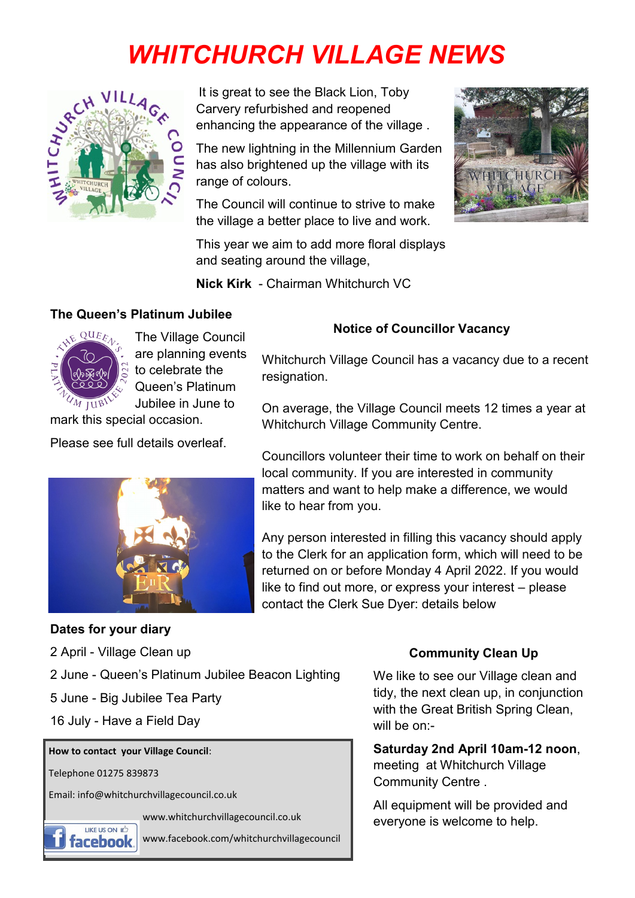# *WHITCHURCH VILLAGE NEWS*



It is great to see the Black Lion, Toby Carvery refurbished and reopened enhancing the appearance of the village .

The new lightning in the Millennium Garden has also brightened up the village with its range of colours.

The Council will continue to strive to make the village a better place to live and work.



This year we aim to add more floral displays and seating around the village,

**Nick Kirk** - Chairman Whitchurch VC

#### **The Queen's Platinum Jubilee**



The Village Council are planning events to celebrate the Queen's Platinum Jubilee in June to

### **Notice of Councillor Vacancy**

Whitchurch Village Council has a vacancy due to a recent resignation.

On average, the Village Council meets 12 times a year at Whitchurch Village Community Centre.

Councillors volunteer their time to work on behalf on their local community. If you are interested in community matters and want to help make a difference, we would like to hear from you.

Any person interested in filling this vacancy should apply to the Clerk for an application form, which will need to be returned on or before Monday 4 April 2022. If you would like to find out more, or express your interest – please contact the Clerk Sue Dyer: details below

## mark this special occasion.

Please see full details overleaf.



#### **Dates for your diary**

2 April - Village Clean up

- 2 June Queen's Platinum Jubilee Beacon Lighting
- 5 June Big Jubilee Tea Party
- 16 July Have a Field Day

#### **How to contact your Village Council**:

Telephone 01275 839873

Email: info@whitchurchvillagecouncil.co.uk

www.whitchurchvillagecouncil.co.uk



www.facebook.com/whitchurchvillagecouncil

#### **Community Clean Up**

We like to see our Village clean and tidy, the next clean up, in conjunction with the Great British Spring Clean, will be on:-

**Saturday 2nd April 10am-12 noon**, meeting at Whitchurch Village Community Centre .

All equipment will be provided and everyone is welcome to help.